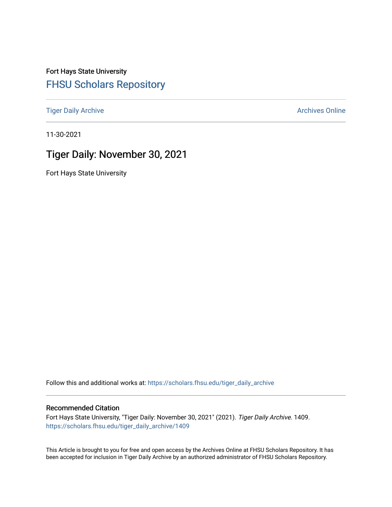Fort Hays State University [FHSU Scholars Repository](https://scholars.fhsu.edu/) 

[Tiger Daily Archive](https://scholars.fhsu.edu/tiger_daily_archive) **Archives** Online Archives Online

11-30-2021

# Tiger Daily: November 30, 2021

Fort Hays State University

Follow this and additional works at: [https://scholars.fhsu.edu/tiger\\_daily\\_archive](https://scholars.fhsu.edu/tiger_daily_archive?utm_source=scholars.fhsu.edu%2Ftiger_daily_archive%2F1409&utm_medium=PDF&utm_campaign=PDFCoverPages)

### Recommended Citation

Fort Hays State University, "Tiger Daily: November 30, 2021" (2021). Tiger Daily Archive. 1409. [https://scholars.fhsu.edu/tiger\\_daily\\_archive/1409](https://scholars.fhsu.edu/tiger_daily_archive/1409?utm_source=scholars.fhsu.edu%2Ftiger_daily_archive%2F1409&utm_medium=PDF&utm_campaign=PDFCoverPages)

This Article is brought to you for free and open access by the Archives Online at FHSU Scholars Repository. It has been accepted for inclusion in Tiger Daily Archive by an authorized administrator of FHSU Scholars Repository.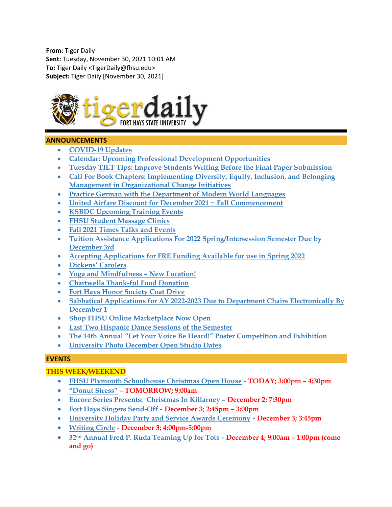**From:** Tiger Daily **Sent:** Tuesday, November 30, 2021 10:01 AM **To:** Tiger Daily <TigerDaily@fhsu.edu> **Subject:** Tiger Daily [November 30, 2021]



### **ANNOUNCEMENTS**

- **[COVID-19 Updates](#page-2-0)**
- **[Calendar: Upcoming Professional Development Opportunities](#page-2-1)**
- **[Tuesday TILT Tips: Improve Students Writing Before the Final Paper Submission](#page-2-2)**
- **[Call For Book Chapters: Implementing Diversity, Equity, Inclusion, and Belonging](#page-3-0)  [Management in Organizational Change Initiatives](#page-3-0)**
- **[Practice German with the Department of Modern World Languages](#page-3-1)**
- **[United Airfare Discount for December 2021 ~ Fall Commencement](#page-3-2)**
- **[KSBDC Upcoming Training Events](#page-4-0)**
- **[FHSU Student Massage Clinics](#page-4-1)**
- **[Fall 2021 Times Talks and Events](#page-4-2)**
- **[Tuition Assistance Applications For 2022 Spring/Intersession Semester Due by](#page-4-3)  [December 3rd](#page-4-3)**
- **[Accepting Applications for FRE Funding Available for use in Spring 2022](#page-5-0)**
- **[Dickens' Carolers](#page-5-1)**
- **[Yoga and Mindfulness –](#page-5-2) New Location!**
- **[Chartwells Thank-ful Food Donation](#page-5-3)**
- **[Fort Hays Honor Society Coat Drive](#page-6-0)**
- **[Sabbatical Applications for AY 2022-2023 Due to Department Chairs Electronically By](#page-6-1)  [December 1](#page-6-1)**
- **[Shop FHSU Online Marketplace Now Open](#page-6-2)**
- **[Last Two Hispanic Dance Sessions of the Semester](#page-6-3)**
- **[The 14th Annual "Let Your Voice Be Heard!" Poster Competition and Exhibition](#page-7-0)**
- **[University Photo December Open Studio Dates](#page-7-1)**

### **EVENTS**

### **THIS WEEK/WEEKEND**

- **[FHSU Plymouth Schoolhouse Christmas Open House](#page-7-2) - TODAY; 3:00pm – 4:30pm**
- **["Donut Stress"](#page-7-3) – TOMORROW; 9:00am**
- **Encore Series Presents: [Christmas In Killarney](#page-8-0) – December 2; 7:30pm**
- **[Fort Hays Singers Send-Off](#page-8-1) - December 3; 2:45pm – 3:00pm**
- **[University Holiday Party and Service Awards Ceremony](#page-8-2) - December 3; 3:45pm**
- **[Writing Circle](#page-8-3) - December 3; 4:00pm-5:00pm**
- **32nd [Annual Fred P. Ruda Teaming Up for Tots](#page-10-0) - December 4; 9:00am – 1:00pm (come and go)**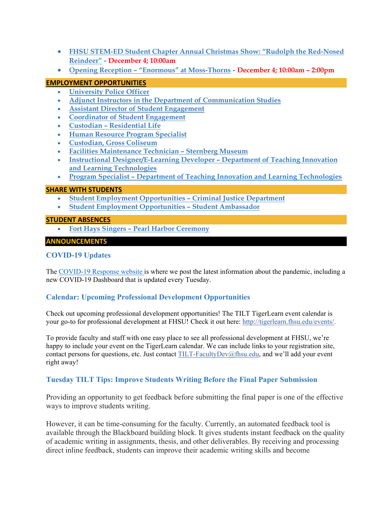- **[FHSU STEM-ED Student Chapter Annual Christmas Show: "Rudolph the Red-Nosed](#page-10-1)  [Reindeer"](#page-10-1) - December 4; 10:00am**
- **Opening Reception – ["Enormous" at Moss-Thorns](#page-11-0) - December 4; 10:00am – 2:00pm**

### **EMPLOYMENT OPPORTUNITIES**

- **[University Police Officer](#page-11-1)**
- **[Adjunct Instructors in the Department of Communication Studies](#page-11-2)**
- **[Assistant Director of Student Engagement](#page-12-0)**
- **[Coordinator of Student Engagement](#page-12-1)**
- **Custodian – [Residential Life](#page-13-0)**
- **[Human Resource Program Specialist](#page-13-1)**
- **[Custodian, Gross Coliseum](#page-14-0)**
- **[Facilities Maintenance Technician –](#page-14-1) Sternberg Museum**
- **[Instructional Designer/E-Learning Developer –](#page-15-0) Department of Teaching Innovation [and Learning Technologies](#page-15-0)**
- **Program Specialist – [Department of Teaching Innovation and Learning Technologies](#page-15-1)**

### **SHARE WITH STUDENTS**

- **[Student Employment Opportunities –](#page-16-0) Criminal Justice Department**
- **[Student Employment Opportunities –](#page-16-1) Student Ambassador**

### **STUDENT ABSENCES**

<span id="page-2-0"></span>• **Fort Hays Singers – [Pearl Harbor Ceremony](#page-16-2)**

### **ANNOUNCEMENTS**

## **COVID-19 Updates**

The [COVID-19 Response website](https://www.fhsu.edu/covid-19-response/index) is where we post the latest information about the pandemic, including a new COVID-19 Dashboard that is updated every Tuesday.

## <span id="page-2-1"></span>**Calendar: Upcoming Professional Development Opportunities**

Check out upcoming professional development opportunities! The TILT TigerLearn event calendar is your go-to for professional development at FHSU! Check it out here: [http://tigerlearn.fhsu.edu/events/.](http://tigerlearn.fhsu.edu/events/)

To provide faculty and staff with one easy place to see all professional development at FHSU, we're happy to include your event on the TigerLearn calendar. We can include links to your registration site, contact persons for questions, etc. Just contact [TILT-FacultyDev@fhsu.edu,](mailto:TILT-FacultyDev@fhsu.edu) and we'll add your event right away!

## <span id="page-2-2"></span>**Tuesday TILT Tips: Improve Students Writing Before the Final Paper Submission**

Providing an opportunity to get feedback before submitting the final paper is one of the effective ways to improve students writing.

However, it can be time-consuming for the faculty. Currently, an automated feedback tool is available through the Blackboard building block. It gives students instant feedback on the quality of academic writing in assignments, thesis, and other deliverables. By receiving and processing direct inline feedback, students can improve their academic writing skills and become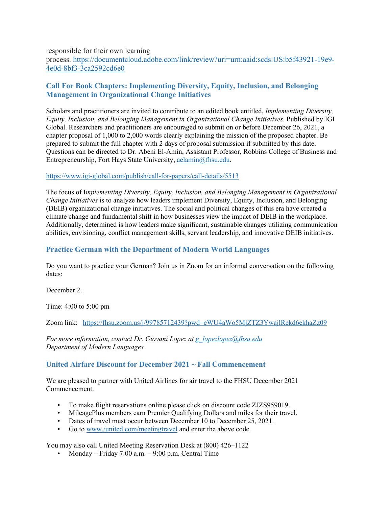responsible for their own learning

process. [https://documentcloud.adobe.com/link/review?uri=urn:aaid:scds:US:b5f43921-19e9-](https://documentcloud.adobe.com/link/review?uri=urn:aaid:scds:US:b5f43921-19e9-4e0d-8bf3-3ca2592cd6e0) [4e0d-8bf3-3ca2592cd6e0](https://documentcloud.adobe.com/link/review?uri=urn:aaid:scds:US:b5f43921-19e9-4e0d-8bf3-3ca2592cd6e0)

# <span id="page-3-0"></span>**Call For Book Chapters: Implementing Diversity, Equity, Inclusion, and Belonging Management in Organizational Change Initiatives**

Scholars and practitioners are invited to contribute to an edited book entitled, *Implementing Diversity, Equity, Inclusion, and Belonging Management in Organizational Change Initiatives.* Published by IGI Global. Researchers and practitioners are encouraged to submit on or before December 26, 2021, a chapter proposal of 1,000 to 2,000 words clearly explaining the mission of the proposed chapter. Be prepared to submit the full chapter with 2 days of proposal submission if submitted by this date. Questions can be directed to Dr. Abeni El-Amin, Assistant Professor, Robbins College of Business and Entrepreneurship, Fort Hays State University, [aelamin@fhsu.edu.](mailto:aelamin@fhsu.edu)

### <https://www.igi-global.com/publish/call-for-papers/call-details/5513>

The focus of I*mplementing Diversity, Equity, Inclusion, and Belonging Management in Organizational Change Initiatives* is to analyze how leaders implement Diversity, Equity, Inclusion, and Belonging (DEIB) organizational change initiatives. The social and political changes of this era have created a climate change and fundamental shift in how businesses view the impact of DEIB in the workplace. Additionally, determined is how leaders make significant, sustainable changes utilizing communication abilities, envisioning, conflict management skills, servant leadership, and innovative DEIB initiatives.

# <span id="page-3-1"></span>**Practice German with the Department of Modern World Languages**

Do you want to practice your German? Join us in Zoom for an informal conversation on the following dates:

December 2.

Time: 4:00 to 5:00 pm

Zoom link: <https://fhsu.zoom.us/j/99785712439?pwd=eWU4aWo5MjZTZ3YwajlRekd6ekhaZz09>

*For more information, contact Dr. Giovani Lopez at [g\\_lopezlopez@fhsu.edu](mailto:g_lopezlopez@fhsu.edu) Department of Modern Languages* 

# <span id="page-3-2"></span>**United Airfare Discount for December 2021 ~ Fall Commencement**

We are pleased to partner with United Airlines for air travel to the FHSU December 2021 Commencement.

- To make flight reservations online please click on discount code ZJZS959019.
- MileagePlus members earn Premier Qualifying Dollars and miles for their travel.
- Dates of travel must occur between December 10 to December 25, 2021.
- Go to [www./united.com/meetingtravel](http://www./united.com/meetingtravel) and enter the above code.

You may also call United Meeting Reservation Desk at (800) 426–1122

• Monday – Friday 7:00 a.m. – 9:00 p.m. Central Time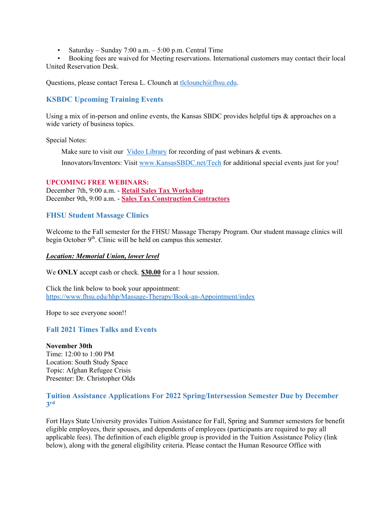• Saturday – Sunday 7:00 a.m. –  $5:00$  p.m. Central Time

• Booking fees are waived for Meeting reservations. International customers may contact their local United Reservation Desk.

Questions, please contact Teresa L. Clounch at [tlclounch@fhsu.edu.](mailto:tlclounch@fhsu.edu)

# <span id="page-4-0"></span>**KSBDC Upcoming Training Events**

Using a mix of in-person and online events, the Kansas SBDC provides helpful tips & approaches on a wide variety of business topics.

Special Notes:

Make sure to visit our Video [Library](https://www.kansassbdc.net/ksbdc-webinars-vimeo) for recording of past webinars  $\&$  events. Innovators/Inventors: Visit [www.KansasSBDC.net/Tech](https://www.kansassbdc.net/tech) for additional special events just for you!

#### **UPCOMING FREE WEBINARS:**

December 7th, 9:00 a.m. - **Retail Sales Tax [Workshop](https://zoom.us/webinar/register/WN_3HDcSFdxSgCZMNjUqkFHtQ)** December 9th, 9:00 a.m. - **Sales Tax [Construction](https://zoom.us/webinar/register/WN_NPC4PXvtTYmMakPkEsqQkA) Contractors**

## <span id="page-4-1"></span>**FHSU Student Massage Clinics**

Welcome to the Fall semester for the FHSU Massage Therapy Program. Our student massage clinics will begin October  $9<sup>th</sup>$ . Clinic will be held on campus this semester.

#### *Location: Memorial Union, lower level*

We **ONLY** accept cash or check. **\$30.00** for a 1 hour session.

Click the link below to book your appointment: <https://www.fhsu.edu/hhp/Massage-Therapy/Book-an-Appointment/index>

Hope to see everyone soon!!

## <span id="page-4-2"></span>**Fall 2021 Times Talks and Events**

### **November 30th**

Time: 12:00 to 1:00 PM Location: South Study Space Topic: Afghan Refugee Crisis Presenter: Dr. Christopher Olds

### <span id="page-4-3"></span>**Tuition Assistance Applications For 2022 Spring/Intersession Semester Due by December 3rd**

Fort Hays State University provides Tuition Assistance for Fall, Spring and Summer semesters for benefit eligible employees, their spouses, and dependents of employees (participants are required to pay all applicable fees). The definition of each eligible group is provided in the Tuition Assistance Policy (link below), along with the general eligibility criteria. Please contact the Human Resource Office with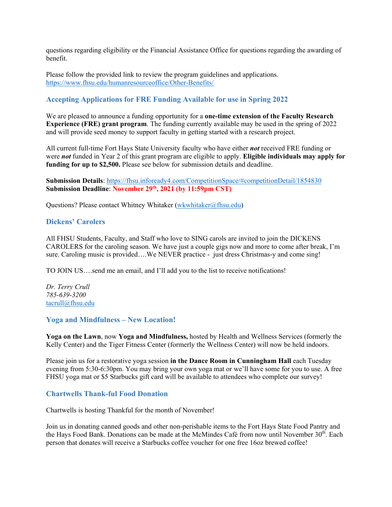questions regarding eligibility or the Financial Assistance Office for questions regarding the awarding of benefit.

Please follow the provided link to review the program guidelines and applications. <https://www.fhsu.edu/humanresourceoffice/Other-Benefits/>

# <span id="page-5-0"></span>**Accepting Applications for FRE Funding Available for use in Spring 2022**

We are pleased to announce a funding opportunity for a **one-time extension of the Faculty Research Experience (FRE) grant program**. The funding currently available may be used in the spring of 2022 and will provide seed money to support faculty in getting started with a research project.

All current full-time Fort Hays State University faculty who have either *not* received FRE funding or were *not* funded in Year 2 of this grant program are eligible to apply. **Eligible individuals may apply for funding for up to \$2,500.** Please see below for submission details and deadline.

**Submission Details**:<https://fhsu.infoready4.com/CompetitionSpace/#competitionDetail/1854830> **Submission Deadline**: **November 29th, 2021 (by 11:59pm CST)**

Questions? Please contact Whitney Whitaker [\(wkwhitaker@fhsu.edu\)](mailto:wkwhitaker@fhsu.edu)

### <span id="page-5-1"></span>**Dickens' Carolers**

All FHSU Students, Faculty, and Staff who love to SING carols are invited to join the DICKENS CAROLERS for the caroling season. We have just a couple gigs now and more to come after break, I'm sure. Caroling music is provided....We NEVER practice - just dress Christmas-y and come sing!

TO JOIN US….send me an email, and I'll add you to the list to receive notifications!

*Dr. Terry Crull 785-639-3200* [tacrull@fhsu.edu](mailto:tacrull@fhsu.edu)

### <span id="page-5-2"></span>**Yoga and Mindfulness – New Location!**

**Yoga on the Lawn**, now **Yoga and Mindfulness,** hosted by Health and Wellness Services (formerly the Kelly Center) and the Tiger Fitness Center (formerly the Wellness Center) will now be held indoors.

Please join us for a restorative yoga session **in the Dance Room in Cunningham Hall** each Tuesday evening from 5:30-6:30pm. You may bring your own yoga mat or we'll have some for you to use. A free FHSU yoga mat or \$5 Starbucks gift card will be available to attendees who complete our survey!

### <span id="page-5-3"></span>**Chartwells Thank-ful Food Donation**

Chartwells is hosting Thankful for the month of November!

Join us in donating canned goods and other non-perishable items to the Fort Hays State Food Pantry and the Hays Food Bank. Donations can be made at the McMindes Café from now until November  $30<sup>th</sup>$ . Each person that donates will receive a Starbucks coffee voucher for one free 16oz brewed coffee!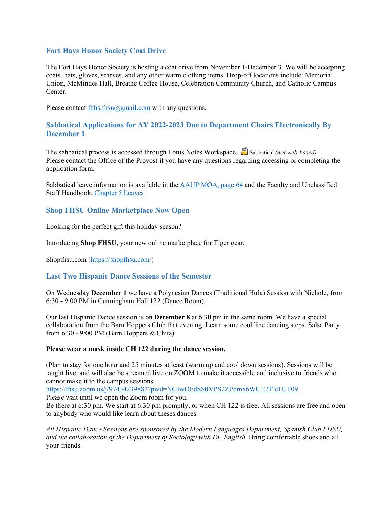# <span id="page-6-0"></span>**Fort Hays Honor Society Coat Drive**

The Fort Hays Honor Society is hosting a coat drive from November 1-December 3. We will be accepting coats, hats, gloves, scarves, and any other warm clothing items. Drop-off locations include: Memorial Union, McMindes Hall, Breathe Coffee House, Celebration Community Church, and Catholic Campus Center.

Please contact fhhs.fhsu $@g$ gmail.com with any questions.

# <span id="page-6-1"></span>**Sabbatical Applications for AY 2022-2023 Due to Department Chairs Electronically By December 1**

The sabbatical process is accessed through Lotus Notes Workspace: Sabbatical *(not web-based)* Please contact the Office of the Provost if you have any questions regarding accessing or completing the application form.

Sabbatical leave information is available in the **AAUP MOA**, page 64 and the Faculty and Unclassified Staff Handbook, [Chapter 5 Leaves](https://www.fhsu.edu/academic/provost/handbook/ch_5_leaves/)

## <span id="page-6-2"></span>**Shop FHSU Online Marketplace Now Open**

Looking for the perfect gift this holiday season?

Introducing **Shop FHSU**, your new online marketplace for Tiger gear.

Shopfhsu.com [\(https://shopfhsu.com/\)](https://shopfhsu.com/)

## <span id="page-6-3"></span>**Last Two Hispanic Dance Sessions of the Semester**

On Wednesday **December 1** we have a Polynesian Dances (Traditional Hula) Session with Nichole, from 6:30 - 9:00 PM in Cunningham Hall 122 (Dance Room).

Our last Hispanic Dance session is on **December 8** at 6:30 pm in the same room. We have a special collaboration from the Barn Hoppers Club that evening. Learn some cool line dancing steps. Salsa Party from 6:30 - 9:00 PM (Barn Hoppers & Chita)

### **Please wear a mask inside CH 122 during the dance session.**

(Plan to stay for one hour and 25 minutes at least (warm up and cool down sessions). Sessions will be taught live, and will also be streamed live on ZOOM to make it accessible and inclusive to friends who cannot make it to the campus sessions

<https://fhsu.zoom.us/j/97434239882?pwd=NGIwOFdSS0VPS2ZPdm56WUE2Tlc1UT09>

Please wait until we open the Zoom room for you.

Be there at 6:30 pm. We start at 6:30 pm promptly, or when CH 122 is free. All sessions are free and open to anybody who would like learn about theses dances.

*All Hispanic Dance Sessions are sponsored by the Modern Languages Department, Spanish Club FHSU, and the collaboration of the Department of Sociology with Dr. English.* Bring comfortable shoes and all your friends.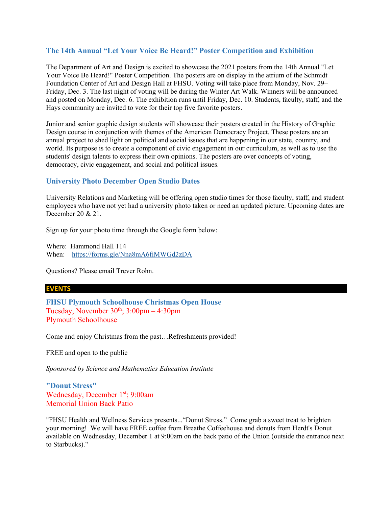# <span id="page-7-0"></span>**The 14th Annual "Let Your Voice Be Heard!" Poster Competition and Exhibition**

The Department of Art and Design is excited to showcase the 2021 posters from the 14th Annual "Let Your Voice Be Heard!" Poster Competition. The posters are on display in the atrium of the Schmidt Foundation Center of Art and Design Hall at FHSU. Voting will take place from Monday, Nov. 29– Friday, Dec. 3. The last night of voting will be during the Winter Art Walk. Winners will be announced and posted on Monday, Dec. 6. The exhibition runs until Friday, Dec. 10. Students, faculty, staff, and the Hays community are invited to vote for their top five favorite posters.

Junior and senior graphic design students will showcase their posters created in the History of Graphic Design course in conjunction with themes of the American Democracy Project. These posters are an annual project to shed light on political and social issues that are happening in our state, country, and world. Its purpose is to create a component of civic engagement in our curriculum, as well as to use the students' design talents to express their own opinions. The posters are over concepts of voting, democracy, civic engagement, and social and political issues.

# <span id="page-7-1"></span>**University Photo December Open Studio Dates**

University Relations and Marketing will be offering open studio times for those faculty, staff, and student employees who have not yet had a university photo taken or need an updated picture. Upcoming dates are December 20 & 21.

Sign up for your photo time through the Google form below:

Where: Hammond Hall 114 When: <https://forms.gle/Nna8mA6fiMWGd2zDA>

Questions? Please email Trever Rohn.

#### **EVENTS**

<span id="page-7-2"></span>**FHSU Plymouth Schoolhouse Christmas Open House** Tuesday, November  $30<sup>th</sup>$ ;  $3:00$ pm –  $4:30$ pm Plymouth Schoolhouse

Come and enjoy Christmas from the past…Refreshments provided!

FREE and open to the public

*Sponsored by Science and Mathematics Education Institute*

<span id="page-7-3"></span>**"Donut Stress"** Wednesday, December 1<sup>st</sup>; 9:00am Memorial Union Back Patio

"FHSU Health and Wellness Services presents..."Donut Stress." Come grab a sweet treat to brighten your morning! We will have FREE coffee from Breathe Coffeehouse and donuts from Herdt's Donut available on Wednesday, December 1 at 9:00am on the back patio of the Union (outside the entrance next to Starbucks)."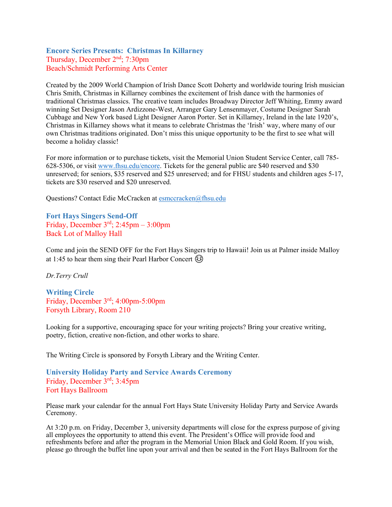# <span id="page-8-2"></span><span id="page-8-0"></span>**Encore Series Presents: Christmas In Killarney** Thursday, December 2nd; 7:30pm Beach/Schmidt Performing Arts Center

Created by the 2009 World Champion of Irish Dance Scott Doherty and worldwide touring Irish musician Chris Smith, Christmas in Killarney combines the excitement of Irish dance with the harmonies of traditional Christmas classics. The creative team includes Broadway Director Jeff Whiting, Emmy award winning Set Designer Jason Ardizzone-West, Arranger Gary Lensenmayer, Costume Designer Sarah Cubbage and New York based Light Designer Aaron Porter. Set in Killarney, Ireland in the late 1920's, Christmas in Killarney shows what it means to celebrate Christmas the 'Irish' way, where many of our own Christmas traditions originated. Don't miss this unique opportunity to be the first to see what will become a holiday classic!

For more information or to purchase tickets, visit the Memorial Union Student Service Center, call 785- 628-5306, or visit [www.fhsu.edu/encore.](http://www.fhsu.edu/encore) Tickets for the general public are \$40 reserved and \$30 unreserved; for seniors, \$35 reserved and \$25 unreserved; and for FHSU students and children ages 5-17, tickets are \$30 reserved and \$20 unreserved.

Questions? Contact Edie McCracken at [esmccracken@fhsu.edu](mailto:esmccracken@fhsu.edu)

<span id="page-8-3"></span><span id="page-8-1"></span>**Fort Hays Singers Send-Off** Friday, December  $3<sup>rd</sup>$ ; 2:45pm – 3:00pm Back Lot of Malloy Hall

Come and join the SEND OFF for the Fort Hays Singers trip to Hawaii! Join us at Palmer inside Malloy at 1:45 to hear them sing their Pearl Harbor Concert  $\textcircled{\small{3}}$ 

*Dr.Terry Crull*

**Writing Circle**  Friday, December 3rd; 4:00pm-5:00pm Forsyth Library, Room 210

Looking for a supportive, encouraging space for your writing projects? Bring your creative writing, poetry, fiction, creative non-fiction, and other works to share.

The Writing Circle is sponsored by Forsyth Library and the Writing Center.

### **University Holiday Party and Service Awards Ceremony** Friday, December 3rd; 3:45pm Fort Hays Ballroom

Please mark your calendar for the annual Fort Hays State University Holiday Party and Service Awards Ceremony.

At 3:20 p.m. on Friday, December 3, university departments will close for the express purpose of giving all employees the opportunity to attend this event. The President's Office will provide food and refreshments before and after the program in the Memorial Union Black and Gold Room. If you wish, please go through the buffet line upon your arrival and then be seated in the Fort Hays Ballroom for the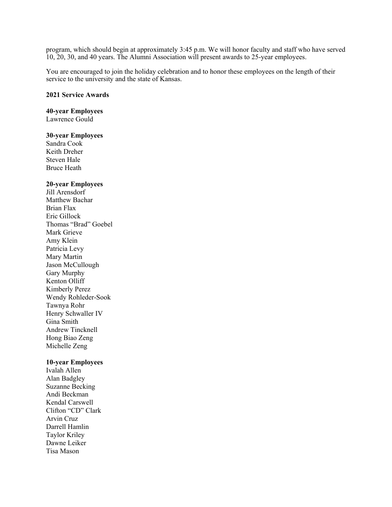program, which should begin at approximately 3:45 p.m. We will honor faculty and staff who have served 10, 20, 30, and 40 years. The Alumni Association will present awards to 25-year employees.

You are encouraged to join the holiday celebration and to honor these employees on the length of their service to the university and the state of Kansas.

#### **2021 Service Awards**

### **40-year Employees**

Lawrence Gould

#### **30-year Employees**

Sandra Cook Keith Dreher Steven Hale Bruce Heath

#### **20-year Employees**

Jill Arensdorf Matthew Bachar Brian Flax Eric Gillock Thomas "Brad" Goebel Mark Grieve Amy Klein Patricia Levy Mary Martin Jason McCullough Gary Murphy Kenton Olliff Kimberly Perez Wendy Rohleder-Sook Tawnya Rohr Henry Schwaller IV Gina Smith Andrew Tincknell Hong Biao Zeng Michelle Zeng

#### **10-year Employees**

Ivalah Allen Alan Badgley Suzanne Becking Andi Beckman Kendal Carswell Clifton "CD" Clark Arvin Cruz Darrell Hamlin Taylor Kriley Dawne Leiker Tisa Mason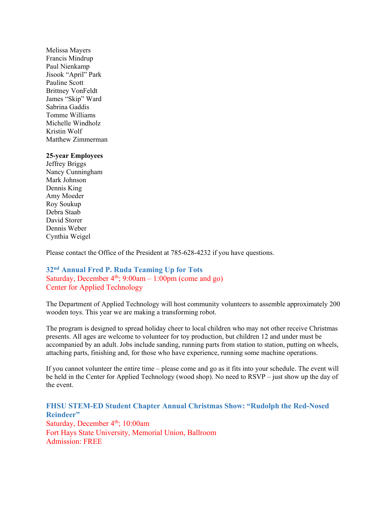Melissa Mayers Francis Mindrup Paul Nienkamp Jisook "April" Park Pauline Scott Brittney VonFeldt James "Skip" Ward Sabrina Gaddis Tomme Williams Michelle Windholz Kristin Wolf Matthew Zimmerman

#### **25-year Employees**

Jeffrey Briggs Nancy Cunningham Mark Johnson Dennis King Amy Moeder Roy Soukup Debra Staab David Storer Dennis Weber Cynthia Weigel

Please contact the Office of the President at 785-628-4232 if you have questions.

# <span id="page-10-0"></span>**32nd Annual Fred P. Ruda Teaming Up for Tots** Saturday, December  $4<sup>th</sup>$ ; 9:00am – 1:00pm (come and go) Center for Applied Technology

The Department of Applied Technology will host community volunteers to assemble approximately 200 wooden toys. This year we are making a transforming robot.

The program is designed to spread holiday cheer to local children who may not other receive Christmas presents. All ages are welcome to volunteer for toy production, but children 12 and under must be accompanied by an adult. Jobs include sanding, running parts from station to station, putting on wheels, attaching parts, finishing and, for those who have experience, running some machine operations.

If you cannot volunteer the entire time – please come and go as it fits into your schedule. The event will be held in the Center for Applied Technology (wood shop). No need to RSVP – just show up the day of the event.

## <span id="page-10-1"></span>**FHSU STEM-ED Student Chapter Annual Christmas Show: "Rudolph the Red-Nosed Reindeer"**

Saturday, December 4<sup>th</sup>; 10:00am Fort Hays State University, Memorial Union, Ballroom Admission: FREE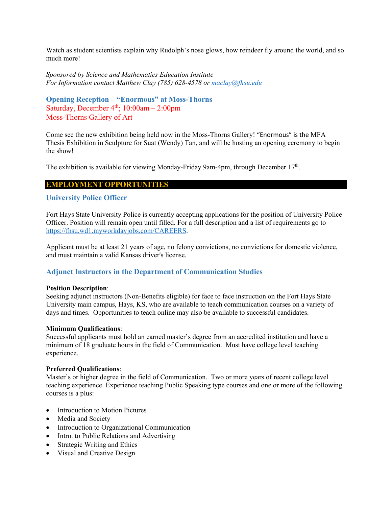Watch as student scientists explain why Rudolph's nose glows, how reindeer fly around the world, and so much more!

*Sponsored by Science and Mathematics Education Institute For Information contact Matthew Clay (785) 628-4578 or [maclay@fhsu.edu](mailto:maclay@fhsu.edu)*

```
Opening Reception – "Enormous" at Moss-Thorns
Saturday, December 4<sup>th</sup>; 10:00am – 2:00pm
Moss-Thorns Gallery of Art
```
Come see the new exhibition being held now in the Moss-Thorns Gallery! "Enormous" is the MFA Thesis Exhibition in Sculpture for Suat (Wendy) Tan, and will be hosting an opening ceremony to begin the show!

The exhibition is available for viewing Monday-Friday 9am-4pm, through December 17<sup>th</sup>.

### **EMPLOYMENT OPPORTUNITIES**

### <span id="page-11-1"></span>**University Police Officer**

Fort Hays State University Police is currently accepting applications for the position of University Police Officer. Position will remain open until filled. For a full description and a list of requirements go to [https://fhsu.wd1.myworkdayjobs.com/CAREERS.](https://fhsu.wd1.myworkdayjobs.com/CAREERS)

Applicant must be at least 21 years of age, no felony convictions, no convictions for domestic violence, and must maintain a valid Kansas driver's license.

## <span id="page-11-2"></span>**Adjunct Instructors in the Department of Communication Studies**

#### **Position Description**:

Seeking adjunct instructors (Non-Benefits eligible) for face to face instruction on the Fort Hays State University main campus, Hays, KS, who are available to teach communication courses on a variety of days and times. Opportunities to teach online may also be available to successful candidates.

#### **Minimum Qualifications**:

Successful applicants must hold an earned master's degree from an accredited institution and have a minimum of 18 graduate hours in the field of Communication. Must have college level teaching experience.

#### **Preferred Qualifications**:

Master's or higher degree in the field of Communication. Two or more years of recent college level teaching experience. Experience teaching Public Speaking type courses and one or more of the following courses is a plus:

- Introduction to Motion Pictures
- Media and Society
- Introduction to Organizational Communication
- Intro. to Public Relations and Advertising
- Strategic Writing and Ethics
- Visual and Creative Design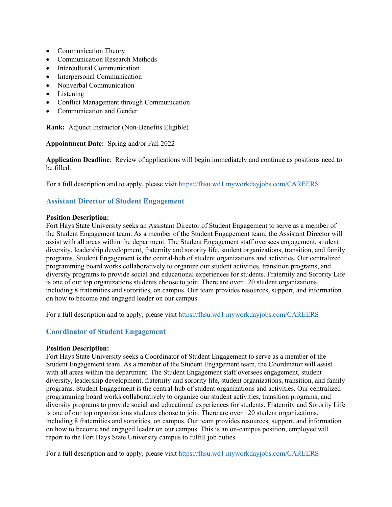- Communication Theory
- Communication Research Methods
- Intercultural Communication
- Interpersonal Communication
- Nonverbal Communication
- Listening
- Conflict Management through Communication
- Communication and Gender

**Rank:** Adjunct Instructor (Non-Benefits Eligible)

**Appointment Date:** Spring and/or Fall 2022

**Application Deadline**: Review of applications will begin immediately and continue as positions need to be filled.

For a full description and to apply, please visit<https://fhsu.wd1.myworkdayjobs.com/CAREERS>

## <span id="page-12-0"></span>**Assistant Director of Student Engagement**

#### **Position Description:**

Fort Hays State University seeks an Assistant Director of Student Engagement to serve as a member of the Student Engagement team. As a member of the Student Engagement team, the Assistant Director will assist with all areas within the department. The Student Engagement staff oversees engagement, student diversity, leadership development, fraternity and sorority life, student organizations, transition, and family programs. Student Engagement is the central-hub of student organizations and activities. Our centralized programming board works collaboratively to organize our student activities, transition programs, and diversity programs to provide social and educational experiences for students. Fraternity and Sorority Life is one of our top organizations students choose to join. There are over 120 student organizations, including 8 fraternities and sororities, on campus. Our team provides resources, support, and information on how to become and engaged leader on our campus.

For a full description and to apply, please visit<https://fhsu.wd1.myworkdayjobs.com/CAREERS>

## <span id="page-12-1"></span>**Coordinator of Student Engagement**

#### **Position Description:**

Fort Hays State University seeks a Coordinator of Student Engagement to serve as a member of the Student Engagement team. As a member of the Student Engagement team, the Coordinator will assist with all areas within the department. The Student Engagement staff oversees engagement, student diversity, leadership development, fraternity and sorority life, student organizations, transition, and family programs. Student Engagement is the central-hub of student organizations and activities. Our centralized programming board works collaboratively to organize our student activities, transition programs, and diversity programs to provide social and educational experiences for students. Fraternity and Sorority Life is one of our top organizations students choose to join. There are over 120 student organizations, including 8 fraternities and sororities, on campus. Our team provides resources, support, and information on how to become and engaged leader on our campus. This is an on-campus position, employee will report to the Fort Hays State University campus to fulfill job duties.

For a full description and to apply, please visit<https://fhsu.wd1.myworkdayjobs.com/CAREERS>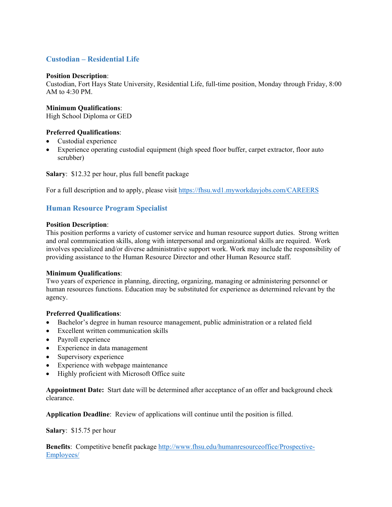# <span id="page-13-0"></span>**Custodian – Residential Life**

### **Position Description**:

Custodian, Fort Hays State University, Residential Life, full-time position, Monday through Friday, 8:00 AM to  $4:30$  PM.

### **Minimum Qualifications**:

High School Diploma or GED

### **Preferred Qualifications**:

- Custodial experience
- Experience operating custodial equipment (high speed floor buffer, carpet extractor, floor auto scrubber)

**Salary**: \$12.32 per hour, plus full benefit package

For a full description and to apply, please visit<https://fhsu.wd1.myworkdayjobs.com/CAREERS>

## <span id="page-13-1"></span>**Human Resource Program Specialist**

#### **Position Description**:

This position performs a variety of customer service and human resource support duties. Strong written and oral communication skills, along with interpersonal and organizational skills are required. Work involves specialized and/or diverse administrative support work. Work may include the responsibility of providing assistance to the Human Resource Director and other Human Resource staff.

#### **Minimum Qualifications**:

Two years of experience in planning, directing, organizing, managing or administering personnel or human resources functions. Education may be substituted for experience as determined relevant by the agency.

### **Preferred Qualifications**:

- Bachelor's degree in human resource management, public administration or a related field
- Excellent written communication skills
- Payroll experience
- Experience in data management
- Supervisory experience
- Experience with webpage maintenance
- Highly proficient with Microsoft Office suite

**Appointment Date:** Start date will be determined after acceptance of an offer and background check clearance.

**Application Deadline**: Review of applications will continue until the position is filled.

**Salary**: \$15.75 per hour

**Benefits**: Competitive benefit package [http://www.fhsu.edu/humanresourceoffice/Prospective-](http://www.fhsu.edu/humanresourceoffice/Prospective-Employees/)[Employees/](http://www.fhsu.edu/humanresourceoffice/Prospective-Employees/)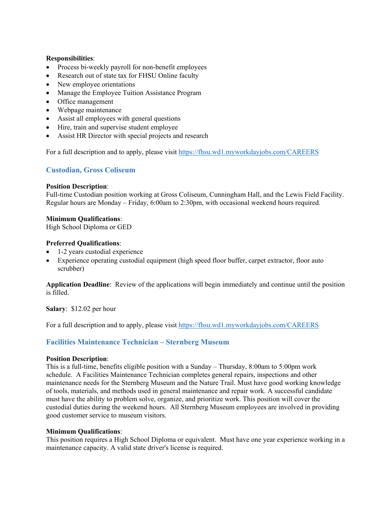### **Responsibilities**:

- Process bi-weekly payroll for non-benefit employees
- Research out of state tax for FHSU Online faculty
- New employee orientations
- Manage the Employee Tuition Assistance Program
- Office management
- Webpage maintenance
- Assist all employees with general questions
- Hire, train and supervise student employee
- Assist HR Director with special projects and research

For a full description and to apply, please visit<https://fhsu.wd1.myworkdayjobs.com/CAREERS>

### <span id="page-14-0"></span>**Custodian, Gross Coliseum**

#### **Position Description**:

Full-time Custodian position working at Gross Coliseum, Cunningham Hall, and the Lewis Field Facility. Regular hours are Monday – Friday, 6:00am to 2:30pm, with occasional weekend hours required.

### **Minimum Qualifications**:

High School Diploma or GED

### **Preferred Qualifications**:

- 1-2 years custodial experience
- Experience operating custodial equipment (high speed floor buffer, carpet extractor, floor auto scrubber)

**Application Deadline**: Review of the applications will begin immediately and continue until the position is filled.

**Salary**: \$12.02 per hour

For a full description and to apply, please visit<https://fhsu.wd1.myworkdayjobs.com/CAREERS>

## <span id="page-14-1"></span>**Facilities Maintenance Technician – Sternberg Museum**

#### **Position Description**:

This is a full-time, benefits eligible position with a Sunday – Thursday, 8:00am to 5:00pm work schedule. A Facilities Maintenance Technician completes general repairs, inspections and other maintenance needs for the Sternberg Museum and the Nature Trail. Must have good working knowledge of tools, materials, and methods used in general maintenance and repair work. A successful candidate must have the ability to problem solve, organize, and prioritize work. This position will cover the custodial duties during the weekend hours. All Sternberg Museum employees are involved in providing good customer service to museum visitors.

### **Minimum Qualifications**:

This position requires a High School Diploma or equivalent. Must have one year experience working in a maintenance capacity. A valid state driver's license is required.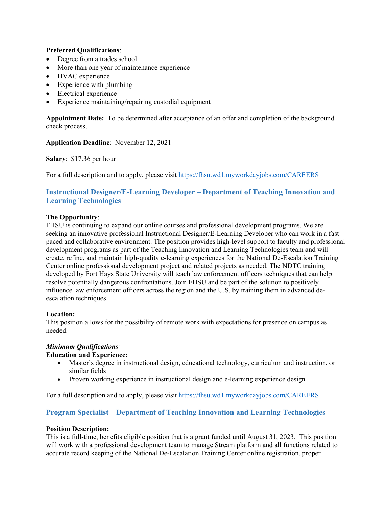### **Preferred Qualifications**:

- Degree from a trades school
- More than one year of maintenance experience
- HVAC experience
- Experience with plumbing
- Electrical experience
- Experience maintaining/repairing custodial equipment

**Appointment Date:** To be determined after acceptance of an offer and completion of the background check process.

**Application Deadline**: November 12, 2021

**Salary**: \$17.36 per hour

For a full description and to apply, please visit<https://fhsu.wd1.myworkdayjobs.com/CAREERS>

# <span id="page-15-0"></span>**Instructional Designer/E-Learning Developer – Department of Teaching Innovation and Learning Technologies**

### **The Opportunity**:

FHSU is continuing to expand our online courses and professional development programs. We are seeking an innovative professional Instructional Designer/E-Learning Developer who can work in a fast paced and collaborative environment. The position provides high-level support to faculty and professional development programs as part of the Teaching Innovation and Learning Technologies team and will create, refine, and maintain high-quality e-learning experiences for the National De-Escalation Training Center online professional development project and related projects as needed. The NDTC training developed by Fort Hays State University will teach law enforcement officers techniques that can help resolve potentially dangerous confrontations. Join FHSU and be part of the solution to positively influence law enforcement officers across the region and the U.S. by training them in advanced deescalation techniques.

### **Location:**

This position allows for the possibility of remote work with expectations for presence on campus as needed.

### *Minimum Qualifications:*

### **Education and Experience:**

- Master's degree in instructional design, educational technology, curriculum and instruction, or similar fields
- <span id="page-15-1"></span>• Proven working experience in instructional design and e-learning experience design

For a full description and to apply, please visit<https://fhsu.wd1.myworkdayjobs.com/CAREERS>

## **Program Specialist – Department of Teaching Innovation and Learning Technologies**

### **Position Description:**

This is a full-time, benefits eligible position that is a grant funded until August 31, 2023. This position will work with a professional development team to manage Stream platform and all functions related to accurate record keeping of the National De-Escalation Training Center online registration, proper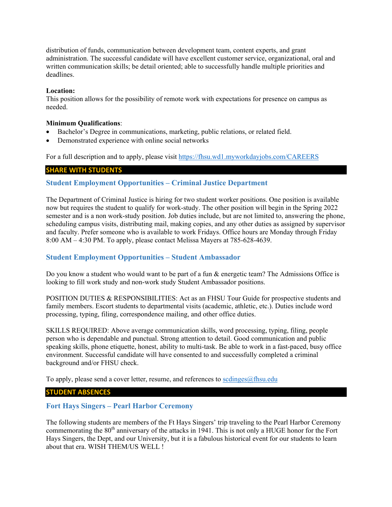distribution of funds, communication between development team, content experts, and grant administration. The successful candidate will have excellent customer service, organizational, oral and written communication skills; be detail oriented; able to successfully handle multiple priorities and deadlines.

#### **Location:**

This position allows for the possibility of remote work with expectations for presence on campus as needed.

#### **Minimum Qualifications**:

- Bachelor's Degree in communications, marketing, public relations, or related field.
- Demonstrated experience with online social networks

For a full description and to apply, please visit<https://fhsu.wd1.myworkdayjobs.com/CAREERS>

#### **SHARE WITH STUDENTS**

### <span id="page-16-0"></span>**Student Employment Opportunities – Criminal Justice Department**

The Department of Criminal Justice is hiring for two student worker positions. One position is available now but requires the student to qualify for work-study. The other position will begin in the Spring 2022 semester and is a non work-study position. Job duties include, but are not limited to, answering the phone, scheduling campus visits, distributing mail, making copies, and any other duties as assigned by supervisor and faculty. Prefer someone who is available to work Fridays. Office hours are Monday through Friday 8:00 AM – 4:30 PM. To apply, please contact Melissa Mayers at 785-628-4639.

### <span id="page-16-1"></span>**Student Employment Opportunities – Student Ambassador**

Do you know a student who would want to be part of a fun & energetic team? The Admissions Office is looking to fill work study and non-work study Student Ambassador positions.

POSITION DUTIES & RESPONSIBILITIES: Act as an FHSU Tour Guide for prospective students and family members. Escort students to departmental visits (academic, athletic, etc.). Duties include word processing, typing, filing, correspondence mailing, and other office duties.

SKILLS REQUIRED: Above average communication skills, word processing, typing, filing, people person who is dependable and punctual. Strong attention to detail. Good communication and public speaking skills, phone etiquette, honest, ability to multi-task. Be able to work in a fast-paced, busy office environment. Successful candidate will have consented to and successfully completed a criminal background and/or FHSU check.

To apply, please send a cover letter, resume, and references to [scdinges@fhsu.edu](mailto:scdinges@fhsu.edu)

### **STUDENT ABSENCES**

### <span id="page-16-2"></span>**Fort Hays Singers – Pearl Harbor Ceremony**

The following students are members of the Ft Hays Singers' trip traveling to the Pearl Harbor Ceremony commemorating the 80<sup>th</sup> anniversary of the attacks in 1941. This is not only a HUGE honor for the Fort Hays Singers, the Dept, and our University, but it is a fabulous historical event for our students to learn about that era. WISH THEM/US WELL !